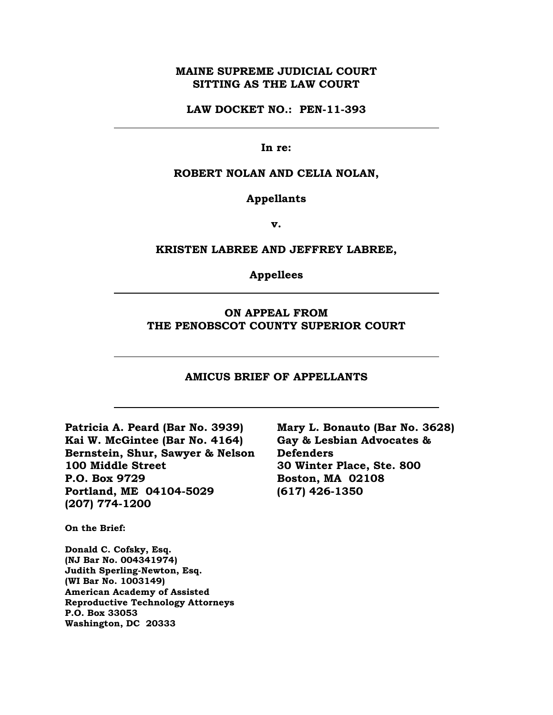## **MAINE SUPREME JUDICIAL COURT SITTING AS THE LAW COURT**

**LAW DOCKET NO.: PEN-11-393**

**In re:** 

#### **ROBERT NOLAN AND CELIA NOLAN,**

**Appellants**

**v.**

#### **KRISTEN LABREE AND JEFFREY LABREE,**

**Appellees**

## **ON APPEAL FROM THE PENOBSCOT COUNTY SUPERIOR COURT**

#### **AMICUS BRIEF OF APPELLANTS**

**Patricia A. Peard (Bar No. 3939) Kai W. McGintee (Bar No. 4164) Bernstein, Shur, Sawyer & Nelson 100 Middle Street P.O. Box 9729 Portland, ME 04104-5029 (207) 774-1200**

**On the Brief:**

**Donald C. Cofsky, Esq. (NJ Bar No. 004341974) Judith Sperling-Newton, Esq. (WI Bar No. 1003149) American Academy of Assisted Reproductive Technology Attorneys P.O. Box 33053 Washington, DC 20333**

**Mary L. Bonauto (Bar No. 3628) Gay & Lesbian Advocates & Defenders 30 Winter Place, Ste. 800 Boston, MA 02108 (617) 426-1350**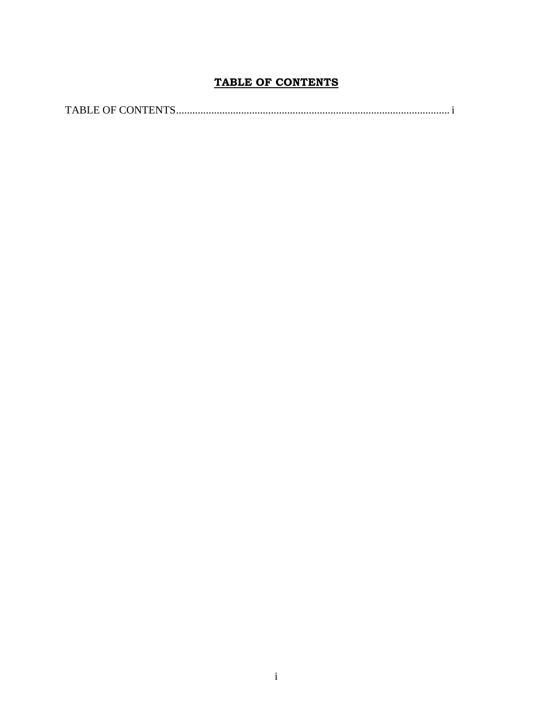# **TABLE OF CONTENTS**

<span id="page-1-0"></span>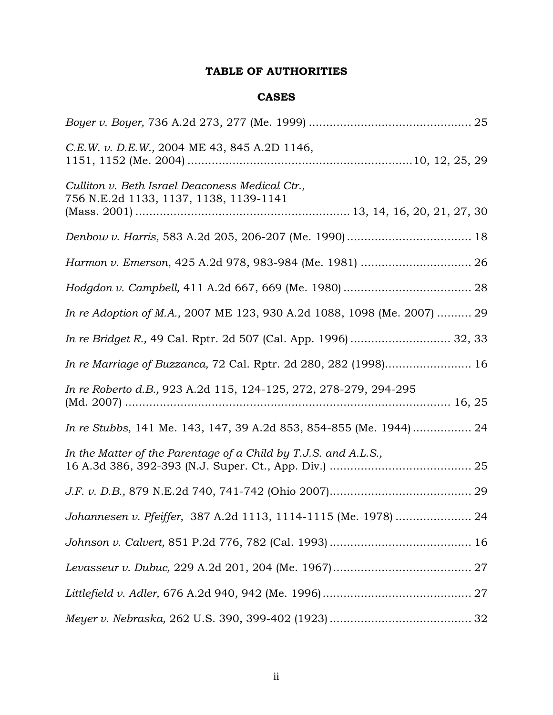# **TABLE OF AUTHORITIES**

## **CASES**

| C.E.W. v. D.E.W., 2004 ME 43, 845 A.2D 1146,                                              |
|-------------------------------------------------------------------------------------------|
| Culliton v. Beth Israel Deaconess Medical Ctr.,<br>756 N.E.2d 1133, 1137, 1138, 1139-1141 |
|                                                                                           |
| Harmon v. Emerson, 425 A.2d 978, 983-984 (Me. 1981)  26                                   |
|                                                                                           |
| In re Adoption of M.A., 2007 ME 123, 930 A.2d 1088, 1098 (Me. 2007)  29                   |
| In re Bridget R., 49 Cal. Rptr. 2d 507 (Cal. App. 1996)  32, 33                           |
| In re Marriage of Buzzanca, 72 Cal. Rptr. 2d 280, 282 (1998) 16                           |
| In re Roberto d.B., 923 A.2d 115, 124-125, 272, 278-279, 294-295                          |
|                                                                                           |
| In the Matter of the Parentage of a Child by T.J.S. and A.L.S.,                           |
|                                                                                           |
| Johannesen v. Pfeiffer, 387 A.2d 1113, 1114-1115 (Me. 1978)  24                           |
|                                                                                           |
|                                                                                           |
|                                                                                           |
|                                                                                           |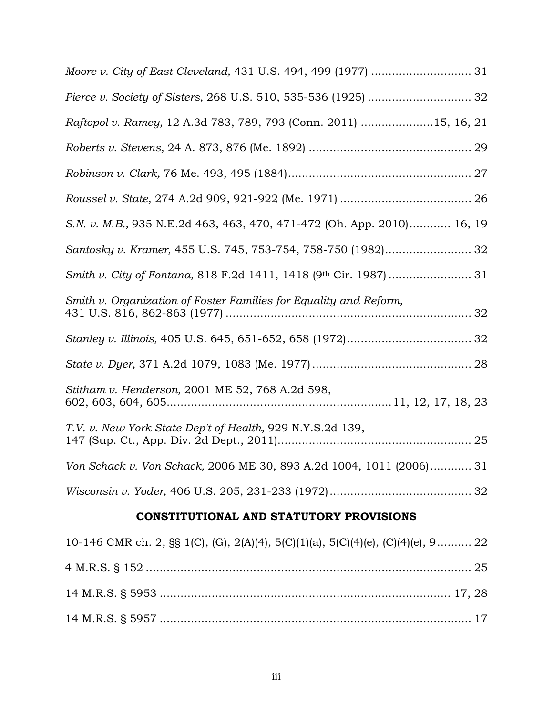| Raftopol v. Ramey, 12 A.3d 783, 789, 793 (Conn. 2011) 15, 16, 21                 |
|----------------------------------------------------------------------------------|
|                                                                                  |
|                                                                                  |
|                                                                                  |
| S.N. v. M.B., 935 N.E.2d 463, 463, 470, 471-472 (Oh. App. 2010) 16, 19           |
| Santosky v. Kramer, 455 U.S. 745, 753-754, 758-750 (1982) 32                     |
|                                                                                  |
| Smith v. Organization of Foster Families for Equality and Reform,                |
|                                                                                  |
|                                                                                  |
| Stitham v. Henderson, 2001 ME 52, 768 A.2d 598,                                  |
| T.V. v. New York State Dep't of Health, 929 N.Y.S.2d 139,                        |
| Von Schack v. Von Schack, 2006 ME 30, 893 A.2d 1004, 1011 (2006) 31              |
|                                                                                  |
| CONSTITUTIONAL AND STATUTORY PROVISIONS                                          |
| 10-146 CMR ch. 2, §§ 1(C), (G), 2(A)(4), 5(C)(1)(a), 5(C)(4)(e), (C)(4)(e), 9 22 |

| 10 110 CMIN CII, 2, 88 1(C), (G), 2(1)(1), 0(C)(1)(a), 0(C)(1)(c), (C)(1)(c), 2 22 |  |
|------------------------------------------------------------------------------------|--|
|                                                                                    |  |
|                                                                                    |  |
|                                                                                    |  |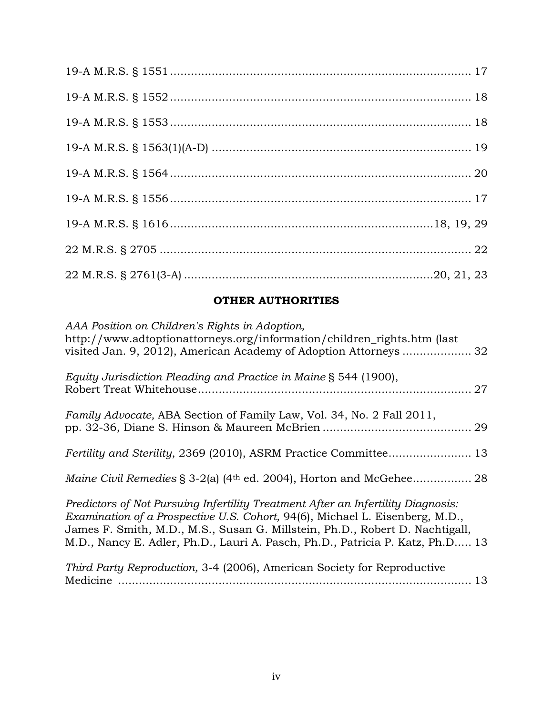# **OTHER AUTHORITIES**

| AAA Position on Children's Rights in Adoption,<br>http://www.adtoptionattorneys.org/information/children_rights.htm (last                                                                                                                                                                                                         |    |
|-----------------------------------------------------------------------------------------------------------------------------------------------------------------------------------------------------------------------------------------------------------------------------------------------------------------------------------|----|
| Equity Jurisdiction Pleading and Practice in Maine § 544 (1900),                                                                                                                                                                                                                                                                  | 27 |
| <i>Family Advocate, ABA Section of Family Law, Vol. 34, No. 2 Fall 2011,</i>                                                                                                                                                                                                                                                      |    |
|                                                                                                                                                                                                                                                                                                                                   |    |
|                                                                                                                                                                                                                                                                                                                                   |    |
| Predictors of Not Pursuing Infertility Treatment After an Infertility Diagnosis:<br>Examination of a Prospective U.S. Cohort, 94(6), Michael L. Eisenberg, M.D.,<br>James F. Smith, M.D., M.S., Susan G. Millstein, Ph.D., Robert D. Nachtigall,<br>M.D., Nancy E. Adler, Ph.D., Lauri A. Pasch, Ph.D., Patricia P. Katz, Ph.D 13 |    |
| Third Party Reproduction, 3-4 (2006), American Society for Reproductive                                                                                                                                                                                                                                                           | 13 |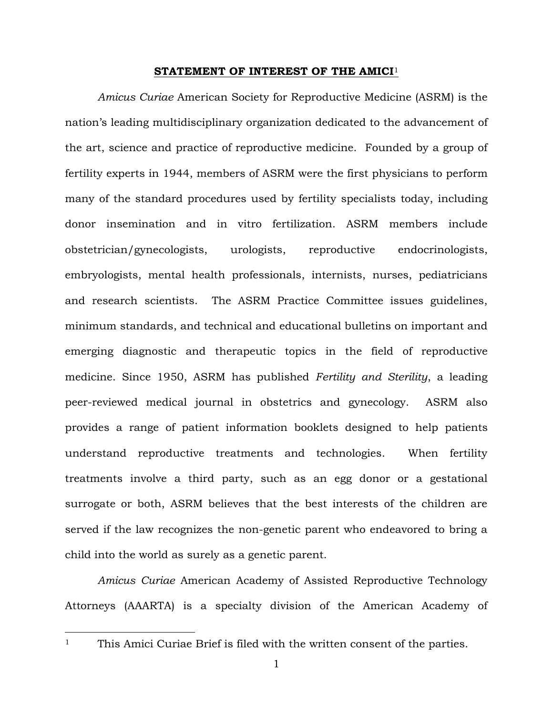#### **STATEMENT OF INTEREST OF THE AMICI**<sup>1</sup>

*Amicus Curiae* American Society for Reproductive Medicine (ASRM) is the nation's leading multidisciplinary organization dedicated to the advancement of the art, science and practice of reproductive medicine. Founded by a group of fertility experts in 1944, members of ASRM were the first physicians to perform many of the standard procedures used by fertility specialists today, including donor insemination and in vitro fertilization. ASRM members include obstetrician/gynecologists, urologists, reproductive endocrinologists, embryologists, mental health professionals, internists, nurses, pediatricians and research scientists. The ASRM Practice Committee issues guidelines, minimum standards, and technical and educational bulletins on important and emerging diagnostic and therapeutic topics in the field of reproductive medicine. Since 1950, ASRM has published *Fertility and Sterility*, a leading peer-reviewed medical journal in obstetrics and gynecology. ASRM also provides a range of patient information booklets designed to help patients understand reproductive treatments and technologies. When fertility treatments involve a third party, such as an egg donor or a gestational surrogate or both, ASRM believes that the best interests of the children are served if the law recognizes the non-genetic parent who endeavored to bring a child into the world as surely as a genetic parent.

*Amicus Curiae* American Academy of Assisted Reproductive Technology Attorneys (AAARTA) is a specialty division of the American Academy of

<sup>&</sup>lt;sup>1</sup> This Amici Curiae Brief is filed with the written consent of the parties.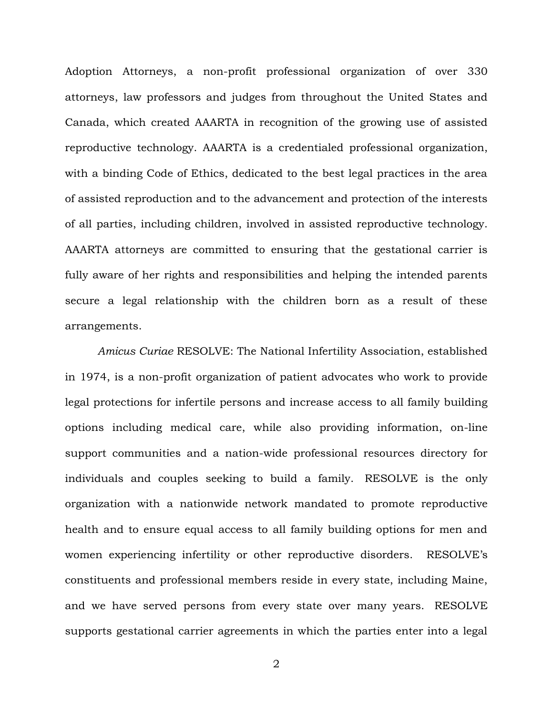Adoption Attorneys, a non-profit professional organization of over 330 attorneys, law professors and judges from throughout the United States and Canada, which created AAARTA in recognition of the growing use of assisted reproductive technology. AAARTA is a credentialed professional organization, with a binding Code of Ethics, dedicated to the best legal practices in the area of assisted reproduction and to the advancement and protection of the interests of all parties, including children, involved in assisted reproductive technology. AAARTA attorneys are committed to ensuring that the gestational carrier is fully aware of her rights and responsibilities and helping the intended parents secure a legal relationship with the children born as a result of these arrangements.

*Amicus Curiae* RESOLVE: The National Infertility Association, established in 1974, is a non-profit organization of patient advocates who work to provide legal protections for infertile persons and increase access to all family building options including medical care, while also providing information, on-line support communities and a nation-wide professional resources directory for individuals and couples seeking to build a family. RESOLVE is the only organization with a nationwide network mandated to promote reproductive health and to ensure equal access to all family building options for men and women experiencing infertility or other reproductive disorders. RESOLVE's constituents and professional members reside in every state, including Maine, and we have served persons from every state over many years. RESOLVE supports gestational carrier agreements in which the parties enter into a legal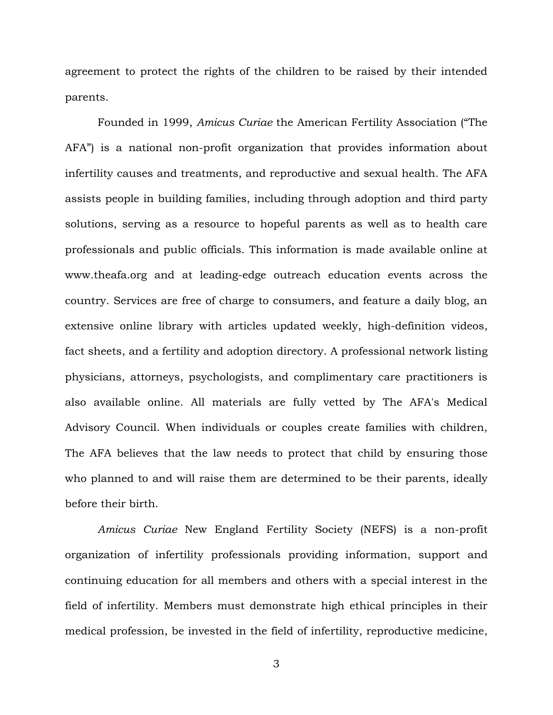agreement to protect the rights of the children to be raised by their intended parents.

Founded in 1999, *Amicus Curiae* the American Fertility Association ("The AFA") is a national non-profit organization that provides information about infertility causes and treatments, and reproductive and sexual health. The AFA assists people in building families, including through adoption and third party solutions, serving as a resource to hopeful parents as well as to health care professionals and public officials. This information is made available online at www.theafa.org and at leading-edge outreach education events across the country. Services are free of charge to consumers, and feature a daily blog, an extensive online library with articles updated weekly, high-definition videos, fact sheets, and a fertility and adoption directory. A professional network listing physicians, attorneys, psychologists, and complimentary care practitioners is also available online. All materials are fully vetted by The AFA's Medical Advisory Council. When individuals or couples create families with children, The AFA believes that the law needs to protect that child by ensuring those who planned to and will raise them are determined to be their parents, ideally before their birth.

*Amicus Curiae* New England Fertility Society (NEFS) is a non-profit organization of infertility professionals providing information, support and continuing education for all members and others with a special interest in the field of infertility. Members must demonstrate high ethical principles in their medical profession, be invested in the field of infertility, reproductive medicine,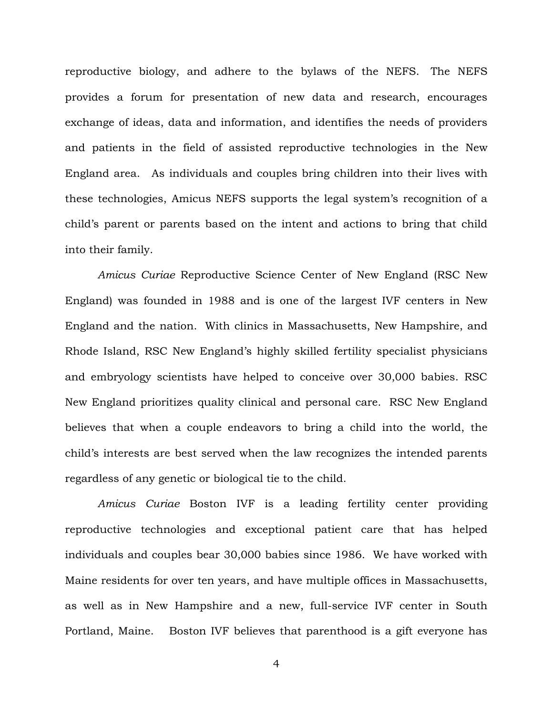reproductive biology, and adhere to the bylaws of the NEFS. The NEFS provides a forum for presentation of new data and research, encourages exchange of ideas, data and information, and identifies the needs of providers and patients in the field of assisted reproductive technologies in the New England area. As individuals and couples bring children into their lives with these technologies, Amicus NEFS supports the legal system's recognition of a child's parent or parents based on the intent and actions to bring that child into their family.

*Amicus Curiae* Reproductive Science Center of New England (RSC New England) was founded in 1988 and is one of the largest IVF centers in New England and the nation. With clinics in Massachusetts, New Hampshire, and Rhode Island, RSC New England's highly skilled fertility specialist physicians and embryology scientists have helped to conceive over 30,000 babies. RSC New England prioritizes quality clinical and personal care. RSC New England believes that when a couple endeavors to bring a child into the world, the child's interests are best served when the law recognizes the intended parents regardless of any genetic or biological tie to the child.

*Amicus Curiae* Boston IVF is a leading fertility center providing reproductive technologies and exceptional patient care that has helped individuals and couples bear 30,000 babies since 1986. We have worked with Maine residents for over ten years, and have multiple offices in Massachusetts, as well as in New Hampshire and a new, full-service IVF center in South Portland, Maine. Boston IVF believes that parenthood is a gift everyone has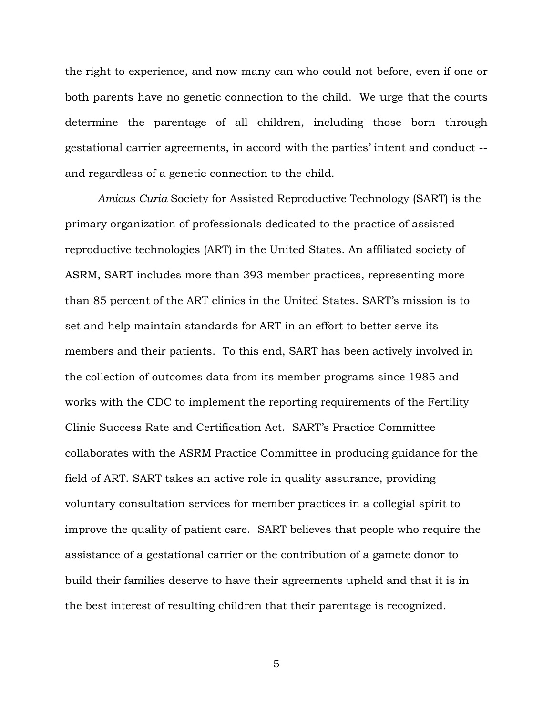the right to experience, and now many can who could not before, even if one or both parents have no genetic connection to the child. We urge that the courts determine the parentage of all children, including those born through gestational carrier agreements, in accord with the parties' intent and conduct - and regardless of a genetic connection to the child*.*

*Amicus Curia* Society for Assisted Reproductive Technology (SART) is the primary organization of professionals dedicated to the practice of assisted reproductive technologies (ART) in the United States. An affiliated society of ASRM, SART includes more than 393 member practices, representing more than 85 percent of the ART clinics in the United States. SART's mission is to set and help maintain standards for ART in an effort to better serve its members and their patients. To this end, SART has been actively involved in the collection of outcomes data from its member programs since 1985 and works with the CDC to implement the reporting requirements of the Fertility Clinic Success Rate and Certification Act. SART's Practice Committee collaborates with the ASRM Practice Committee in producing guidance for the field of ART. SART takes an active role in quality assurance, providing voluntary consultation services for member practices in a collegial spirit to improve the quality of patient care. SART believes that people who require the assistance of a gestational carrier or the contribution of a gamete donor to build their families deserve to have their agreements upheld and that it is in the best interest of resulting children that their parentage is recognized.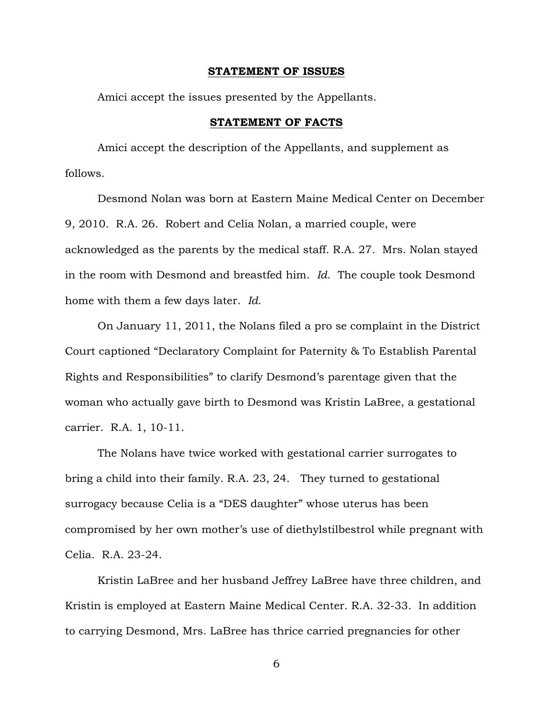#### **STATEMENT OF ISSUES**

Amici accept the issues presented by the Appellants.

### **STATEMENT OF FACTS**

Amici accept the description of the Appellants, and supplement as follows.

Desmond Nolan was born at Eastern Maine Medical Center on December 9, 2010. R.A. 26. Robert and Celia Nolan, a married couple, were acknowledged as the parents by the medical staff. R.A. 27. Mrs. Nolan stayed in the room with Desmond and breastfed him. *Id*. The couple took Desmond home with them a few days later. *Id*.

On January 11, 2011, the Nolans filed a pro se complaint in the District Court captioned "Declaratory Complaint for Paternity & To Establish Parental Rights and Responsibilities" to clarify Desmond's parentage given that the woman who actually gave birth to Desmond was Kristin LaBree, a gestational carrier. R.A. 1, 10-11.

The Nolans have twice worked with gestational carrier surrogates to bring a child into their family. R.A. 23, 24. They turned to gestational surrogacy because Celia is a "DES daughter" whose uterus has been compromised by her own mother's use of diethylstilbestrol while pregnant with Celia. R.A. 23-24.

Kristin LaBree and her husband Jeffrey LaBree have three children, and Kristin is employed at Eastern Maine Medical Center. R.A. 32-33. In addition to carrying Desmond, Mrs. LaBree has thrice carried pregnancies for other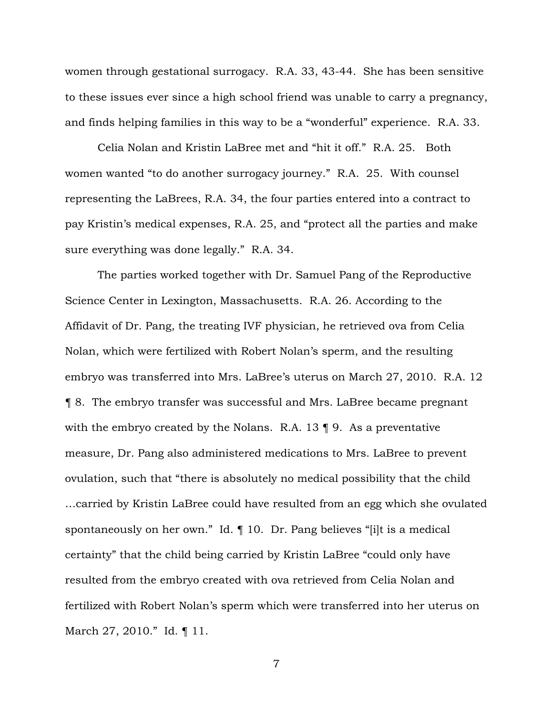women through gestational surrogacy. R.A. 33, 43-44. She has been sensitive to these issues ever since a high school friend was unable to carry a pregnancy, and finds helping families in this way to be a "wonderful" experience. R.A. 33.

Celia Nolan and Kristin LaBree met and "hit it off." R.A. 25. Both women wanted "to do another surrogacy journey." R.A. 25. With counsel representing the LaBrees, R.A. 34, the four parties entered into a contract to pay Kristin's medical expenses, R.A. 25, and "protect all the parties and make sure everything was done legally." R.A. 34.

The parties worked together with Dr. Samuel Pang of the Reproductive Science Center in Lexington, Massachusetts. R.A. 26. According to the Affidavit of Dr. Pang, the treating IVF physician, he retrieved ova from Celia Nolan, which were fertilized with Robert Nolan's sperm, and the resulting embryo was transferred into Mrs. LaBree's uterus on March 27, 2010. R.A. 12 ¶ 8. The embryo transfer was successful and Mrs. LaBree became pregnant with the embryo created by the Nolans. R.A. 13 ¶ 9. As a preventative measure, Dr. Pang also administered medications to Mrs. LaBree to prevent ovulation, such that "there is absolutely no medical possibility that the child …carried by Kristin LaBree could have resulted from an egg which she ovulated spontaneously on her own." Id. ¶ 10. Dr. Pang believes "[i]t is a medical certainty" that the child being carried by Kristin LaBree "could only have resulted from the embryo created with ova retrieved from Celia Nolan and fertilized with Robert Nolan's sperm which were transferred into her uterus on March 27, 2010." Id. ¶ 11.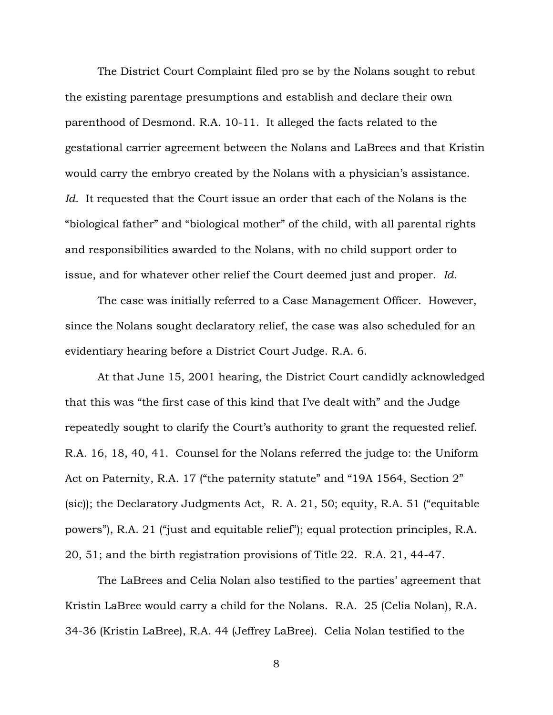The District Court Complaint filed pro se by the Nolans sought to rebut the existing parentage presumptions and establish and declare their own parenthood of Desmond. R.A. 10-11. It alleged the facts related to the gestational carrier agreement between the Nolans and LaBrees and that Kristin would carry the embryo created by the Nolans with a physician's assistance. *Id*. It requested that the Court issue an order that each of the Nolans is the "biological father" and "biological mother" of the child, with all parental rights and responsibilities awarded to the Nolans, with no child support order to issue, and for whatever other relief the Court deemed just and proper. *Id*.

The case was initially referred to a Case Management Officer. However, since the Nolans sought declaratory relief, the case was also scheduled for an evidentiary hearing before a District Court Judge. R.A. 6.

At that June 15, 2001 hearing, the District Court candidly acknowledged that this was "the first case of this kind that I've dealt with" and the Judge repeatedly sought to clarify the Court's authority to grant the requested relief. R.A. 16, 18, 40, 41. Counsel for the Nolans referred the judge to: the Uniform Act on Paternity, R.A. 17 ("the paternity statute" and "19A 1564, Section 2" (sic)); the Declaratory Judgments Act, R. A. 21, 50; equity, R.A. 51 ("equitable powers"), R.A. 21 ("just and equitable relief"); equal protection principles, R.A. 20, 51; and the birth registration provisions of Title 22. R.A. 21, 44-47.

The LaBrees and Celia Nolan also testified to the parties' agreement that Kristin LaBree would carry a child for the Nolans. R.A. 25 (Celia Nolan), R.A. 34-36 (Kristin LaBree), R.A. 44 (Jeffrey LaBree). Celia Nolan testified to the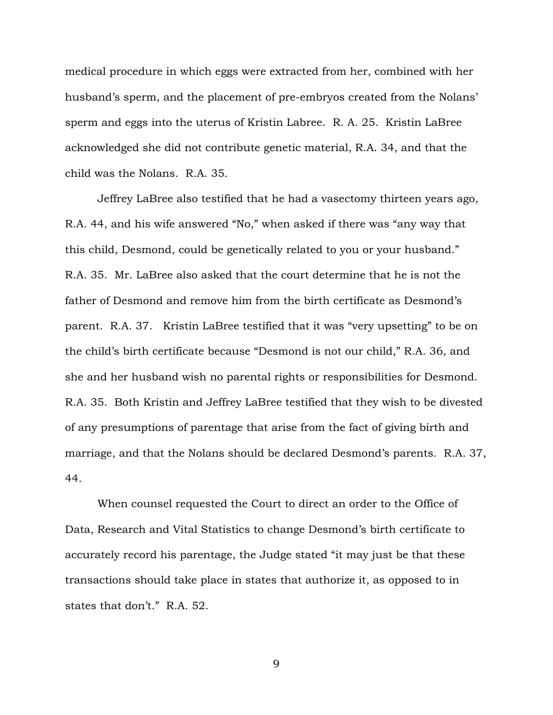medical procedure in which eggs were extracted from her, combined with her husband's sperm, and the placement of pre-embryos created from the Nolans' sperm and eggs into the uterus of Kristin Labree. R. A. 25. Kristin LaBree acknowledged she did not contribute genetic material, R.A. 34, and that the child was the Nolans. R.A. 35.

Jeffrey LaBree also testified that he had a vasectomy thirteen years ago, R.A. 44, and his wife answered "No," when asked if there was "any way that this child, Desmond, could be genetically related to you or your husband." R.A. 35. Mr. LaBree also asked that the court determine that he is not the father of Desmond and remove him from the birth certificate as Desmond's parent. R.A. 37. Kristin LaBree testified that it was "very upsetting" to be on the child's birth certificate because "Desmond is not our child," R.A. 36, and she and her husband wish no parental rights or responsibilities for Desmond. R.A. 35. Both Kristin and Jeffrey LaBree testified that they wish to be divested of any presumptions of parentage that arise from the fact of giving birth and marriage, and that the Nolans should be declared Desmond's parents. R.A. 37, 44.

When counsel requested the Court to direct an order to the Office of Data, Research and Vital Statistics to change Desmond's birth certificate to accurately record his parentage, the Judge stated "it may just be that these transactions should take place in states that authorize it, as opposed to in states that don't." R.A. 52.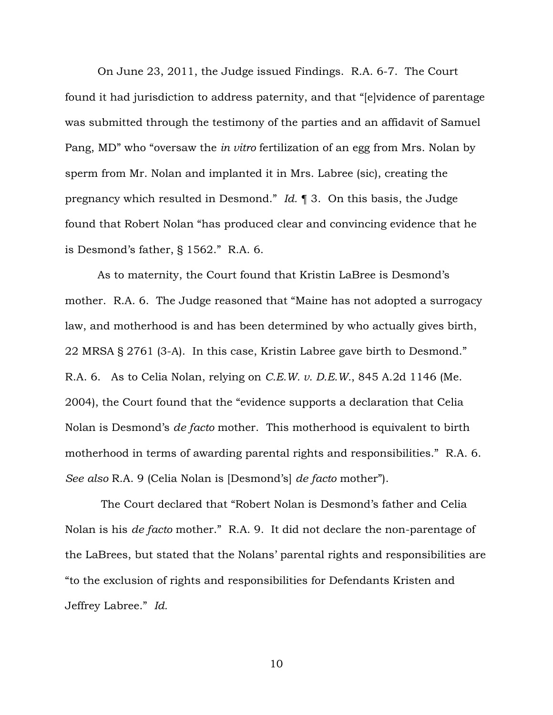On June 23, 2011, the Judge issued Findings. R.A. 6-7. The Court found it had jurisdiction to address paternity, and that "[e]vidence of parentage was submitted through the testimony of the parties and an affidavit of Samuel Pang, MD" who "oversaw the *in vitro* fertilization of an egg from Mrs. Nolan by sperm from Mr. Nolan and implanted it in Mrs. Labree (sic), creating the pregnancy which resulted in Desmond." *Id.* ¶ 3. On this basis, the Judge found that Robert Nolan "has produced clear and convincing evidence that he is Desmond's father, § 1562." R.A. 6.

As to maternity, the Court found that Kristin LaBree is Desmond's mother. R.A. 6. The Judge reasoned that "Maine has not adopted a surrogacy law, and motherhood is and has been determined by who actually gives birth, 22 MRSA § 2761 (3-A). In this case, Kristin Labree gave birth to Desmond." R.A. 6. As to Celia Nolan, relying on *C.E.W. v. D.E.W.*, 845 A.2d 1146 (Me. 2004), the Court found that the "evidence supports a declaration that Celia Nolan is Desmond's *de facto* mother. This motherhood is equivalent to birth motherhood in terms of awarding parental rights and responsibilities." R.A. 6. *See also* R.A. 9 (Celia Nolan is [Desmond's] *de facto* mother").

The Court declared that "Robert Nolan is Desmond's father and Celia Nolan is his *de facto* mother." R.A. 9. It did not declare the non-parentage of the LaBrees, but stated that the Nolans' parental rights and responsibilities are "to the exclusion of rights and responsibilities for Defendants Kristen and Jeffrey Labree." *Id.*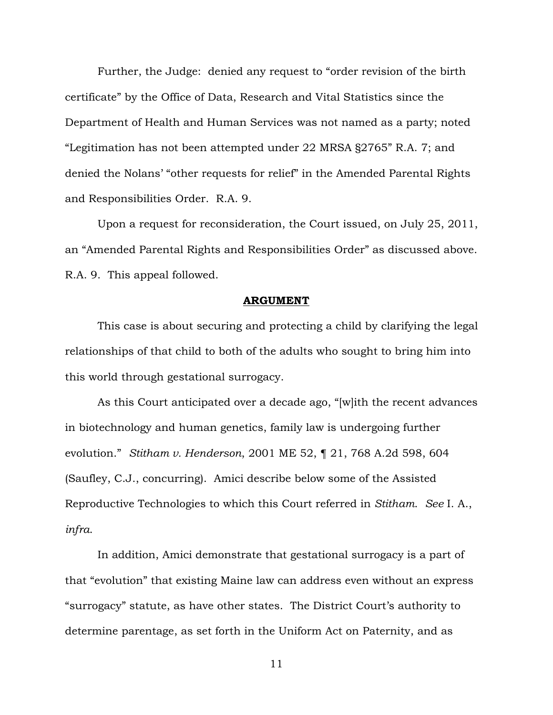Further, the Judge: denied any request to "order revision of the birth certificate" by the Office of Data, Research and Vital Statistics since the Department of Health and Human Services was not named as a party; noted "Legitimation has not been attempted under 22 MRSA §2765" R.A. 7; and denied the Nolans' "other requests for relief" in the Amended Parental Rights and Responsibilities Order. R.A. 9.

Upon a request for reconsideration, the Court issued, on July 25, 2011, an "Amended Parental Rights and Responsibilities Order" as discussed above. R.A. 9. This appeal followed.

#### **ARGUMENT**

This case is about securing and protecting a child by clarifying the legal relationships of that child to both of the adults who sought to bring him into this world through gestational surrogacy.

As this Court anticipated over a decade ago, "[w]ith the recent advances in biotechnology and human genetics, family law is undergoing further evolution."*Stitham v. Henderson*, 2001 ME 52, ¶ 21, 768 A.2d 598, 604 (Saufley, C.J., concurring). Amici describe below some of the Assisted Reproductive Technologies to which this Court referred in *Stitham*. *See* I. A., *infra*.

In addition, Amici demonstrate that gestational surrogacy is a part of that "evolution" that existing Maine law can address even without an express "surrogacy" statute, as have other states. The District Court's authority to determine parentage, as set forth in the Uniform Act on Paternity, and as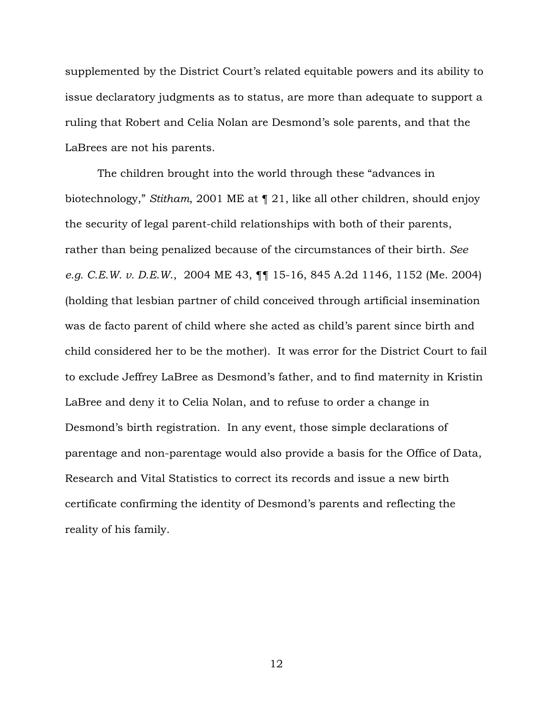supplemented by the District Court's related equitable powers and its ability to issue declaratory judgments as to status, are more than adequate to support a ruling that Robert and Celia Nolan are Desmond's sole parents, and that the LaBrees are not his parents.

The children brought into the world through these "advances in biotechnology," *Stitham*, 2001 ME at ¶ 21, like all other children, should enjoy the security of legal parent-child relationships with both of their parents, rather than being penalized because of the circumstances of their birth. *See e.g. C.E.W. v. D.E.W*., 2004 ME 43, ¶¶ 15-16, 845 A.2d 1146, 1152 (Me. 2004) (holding that lesbian partner of child conceived through artificial insemination was de facto parent of child where she acted as child's parent since birth and child considered her to be the mother). It was error for the District Court to fail to exclude Jeffrey LaBree as Desmond's father, and to find maternity in Kristin LaBree and deny it to Celia Nolan, and to refuse to order a change in Desmond's birth registration. In any event, those simple declarations of parentage and non-parentage would also provide a basis for the Office of Data, Research and Vital Statistics to correct its records and issue a new birth certificate confirming the identity of Desmond's parents and reflecting the reality of his family.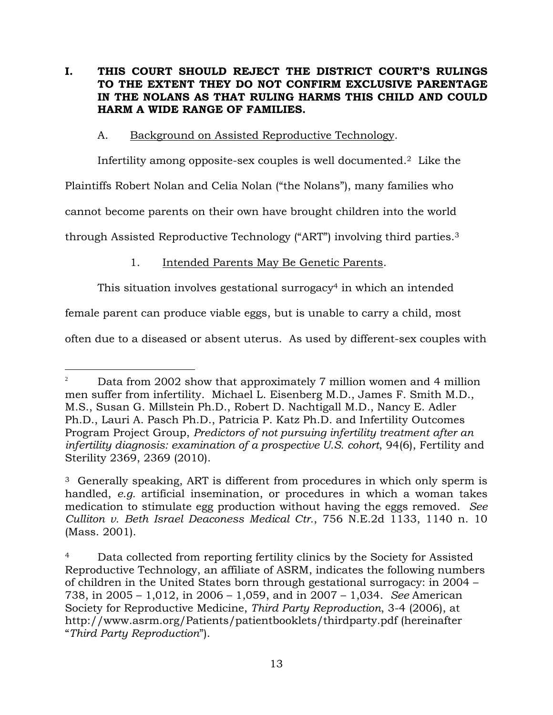## **I. THIS COURT SHOULD REJECT THE DISTRICT COURT'S RULINGS TO THE EXTENT THEY DO NOT CONFIRM EXCLUSIVE PARENTAGE IN THE NOLANS AS THAT RULING HARMS THIS CHILD AND COULD HARM A WIDE RANGE OF FAMILIES.**

## A. Background on Assisted Reproductive Technology.

Infertility among opposite-sex couples is well documented.2 Like the

Plaintiffs Robert Nolan and Celia Nolan ("the Nolans"), many families who

cannot become parents on their own have brought children into the world

through Assisted Reproductive Technology ("ART") involving third parties.<sup>3</sup>

# 1. Intended Parents May Be Genetic Parents.

This situation involves gestational surrogacy<sup>4</sup> in which an intended

female parent can produce viable eggs, but is unable to carry a child, most

often due to a diseased or absent uterus. As used by different-sex couples with

 $\overline{a}$ <sup>2</sup> Data from 2002 show that approximately 7 million women and 4 million men suffer from infertility. Michael L. Eisenberg M.D., James F. Smith M.D., M.S., Susan G. Millstein Ph.D., Robert D. Nachtigall M.D., Nancy E. Adler Ph.D., Lauri A. Pasch Ph.D., Patricia P. Katz Ph.D. and Infertility Outcomes Program Project Group, *Predictors of not pursuing infertility treatment after an infertility diagnosis: examination of a prospective U.S. cohort*, 94(6), Fertility and Sterility 2369, 2369 (2010).

<sup>3</sup> Generally speaking, ART is different from procedures in which only sperm is handled, *e.g.* artificial insemination, or procedures in which a woman takes medication to stimulate egg production without having the eggs removed. *See Culliton v. Beth Israel Deaconess Medical Ctr.*, 756 N.E.2d 1133, 1140 n. 10 (Mass. 2001).

<sup>&</sup>lt;sup>4</sup> Data collected from reporting fertility clinics by the Society for Assisted Reproductive Technology, an affiliate of ASRM, indicates the following numbers of children in the United States born through gestational surrogacy: in 2004 – 738, in 2005 – 1,012, in 2006 – 1,059, and in 2007 – 1,034. *See* American Society for Reproductive Medicine, *Third Party Reproduction*, 3-4 (2006), at http://www.asrm.org/Patients/patientbooklets/thirdparty.pdf (hereinafter "*Third Party Reproduction*").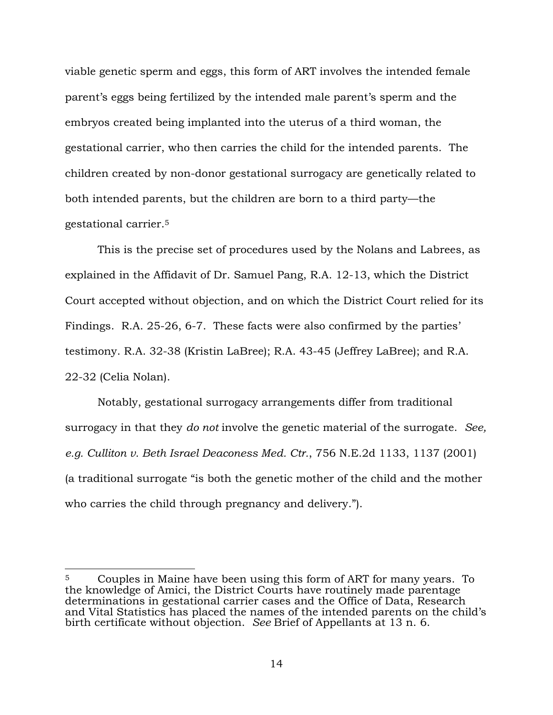viable genetic sperm and eggs, this form of ART involves the intended female parent's eggs being fertilized by the intended male parent's sperm and the embryos created being implanted into the uterus of a third woman, the gestational carrier, who then carries the child for the intended parents. The children created by non-donor gestational surrogacy are genetically related to both intended parents, but the children are born to a third party—the gestational carrier.<sup>5</sup>

This is the precise set of procedures used by the Nolans and Labrees, as explained in the Affidavit of Dr. Samuel Pang, R.A. 12-13, which the District Court accepted without objection, and on which the District Court relied for its Findings. R.A. 25-26, 6-7. These facts were also confirmed by the parties' testimony. R.A. 32-38 (Kristin LaBree); R.A. 43-45 (Jeffrey LaBree); and R.A. 22-32 (Celia Nolan).

Notably, gestational surrogacy arrangements differ from traditional surrogacy in that they *do not* involve the genetic material of the surrogate. *See, e.g. Culliton v. Beth Israel Deaconess Med. Ctr.*, 756 N.E.2d 1133, 1137 (2001) (a traditional surrogate "is both the genetic mother of the child and the mother who carries the child through pregnancy and delivery.").

<sup>&</sup>lt;sup>5</sup> Couples in Maine have been using this form of ART for many years. To the knowledge of Amici, the District Courts have routinely made parentage determinations in gestational carrier cases and the Office of Data, Research and Vital Statistics has placed the names of the intended parents on the child's birth certificate without objection. *See* Brief of Appellants at 13 n. 6.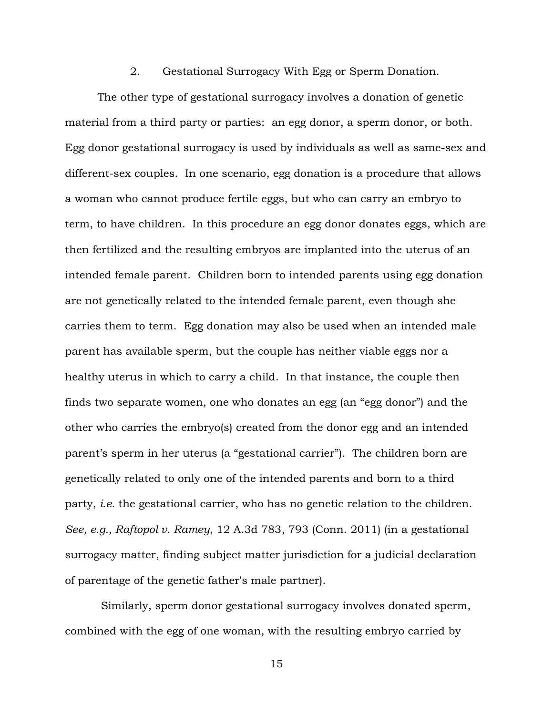### 2. Gestational Surrogacy With Egg or Sperm Donation.

The other type of gestational surrogacy involves a donation of genetic material from a third party or parties: an egg donor, a sperm donor, or both. Egg donor gestational surrogacy is used by individuals as well as same-sex and different-sex couples. In one scenario, egg donation is a procedure that allows a woman who cannot produce fertile eggs, but who can carry an embryo to term, to have children. In this procedure an egg donor donates eggs, which are then fertilized and the resulting embryos are implanted into the uterus of an intended female parent. Children born to intended parents using egg donation are not genetically related to the intended female parent, even though she carries them to term. Egg donation may also be used when an intended male parent has available sperm, but the couple has neither viable eggs nor a healthy uterus in which to carry a child. In that instance, the couple then finds two separate women, one who donates an egg (an "egg donor") and the other who carries the embryo(s) created from the donor egg and an intended parent's sperm in her uterus (a "gestational carrier"). The children born are genetically related to only one of the intended parents and born to a third party, *i.e.* the gestational carrier, who has no genetic relation to the children. *See, e.g., Raftopol v. Ramey*, 12 A.3d 783, 793 (Conn. 2011) (in a gestational surrogacy matter, finding subject matter jurisdiction for a judicial declaration of parentage of the genetic father's male partner).

Similarly, sperm donor gestational surrogacy involves donated sperm, combined with the egg of one woman, with the resulting embryo carried by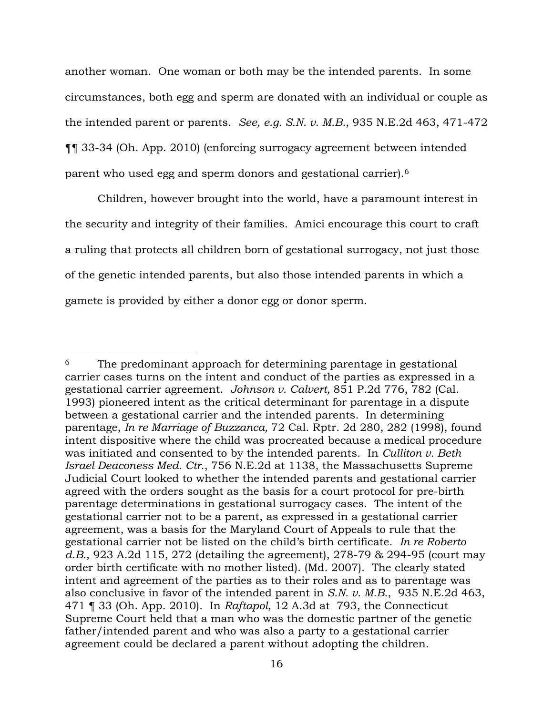another woman. One woman or both may be the intended parents. In some circumstances, both egg and sperm are donated with an individual or couple as the intended parent or parents. *See, e.g. S.N. v. M.B.*, 935 N.E.2d 463, 471-472 ¶¶ 33-34 (Oh. App. 2010) (enforcing surrogacy agreement between intended parent who used egg and sperm donors and gestational carrier).<sup>6</sup>

Children, however brought into the world, have a paramount interest in the security and integrity of their families. Amici encourage this court to craft a ruling that protects all children born of gestational surrogacy, not just those of the genetic intended parents, but also those intended parents in which a gamete is provided by either a donor egg or donor sperm.

<sup>&</sup>lt;sup>6</sup> The predominant approach for determining parentage in gestational carrier cases turns on the intent and conduct of the parties as expressed in a gestational carrier agreement. *Johnson v. Calvert,* 851 P.2d 776, 782 (Cal. 1993) pioneered intent as the critical determinant for parentage in a dispute between a gestational carrier and the intended parents. In determining parentage, *In re Marriage of Buzzanca,* 72 Cal. Rptr. 2d 280, 282 (1998), found intent dispositive where the child was procreated because a medical procedure was initiated and consented to by the intended parents. In *Culliton v. Beth Israel Deaconess Med. Ctr.*, 756 N.E.2d at 1138, the Massachusetts Supreme Judicial Court looked to whether the intended parents and gestational carrier agreed with the orders sought as the basis for a court protocol for pre-birth parentage determinations in gestational surrogacy cases. The intent of the gestational carrier not to be a parent, as expressed in a gestational carrier agreement, was a basis for the Maryland Court of Appeals to rule that the gestational carrier not be listed on the child's birth certificate. *In re Roberto d.B.*, 923 A.2d 115, 272 (detailing the agreement), 278-79 & 294-95 (court may order birth certificate with no mother listed). (Md. 2007). The clearly stated intent and agreement of the parties as to their roles and as to parentage was also conclusive in favor of the intended parent in *S.N. v. M.B.*, 935 N.E.2d 463, 471 ¶ 33 (Oh. App. 2010). In *Raftapol*, 12 A.3d at 793, the Connecticut Supreme Court held that a man who was the domestic partner of the genetic father/intended parent and who was also a party to a gestational carrier agreement could be declared a parent without adopting the children.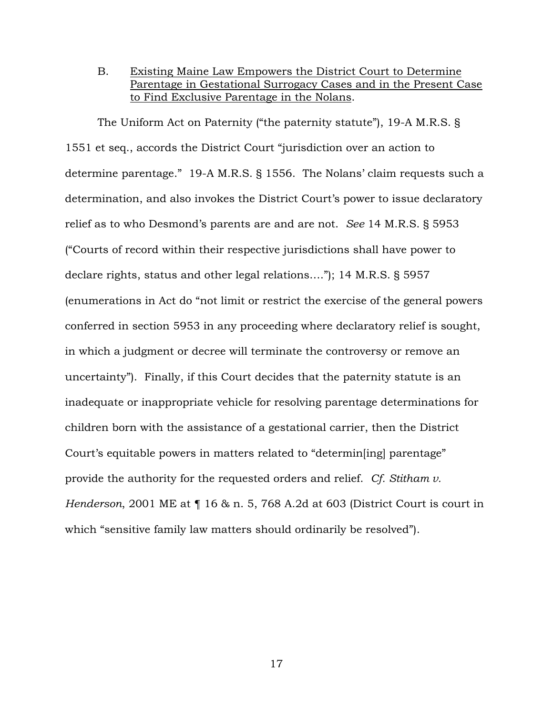B. Existing Maine Law Empowers the District Court to Determine Parentage in Gestational Surrogacy Cases and in the Present Case to Find Exclusive Parentage in the Nolans.

The Uniform Act on Paternity ("the paternity statute"), 19-A M.R.S. § 1551 et seq., accords the District Court "jurisdiction over an action to determine parentage." 19-A M.R.S. § 1556. The Nolans' claim requests such a determination, and also invokes the District Court's power to issue declaratory relief as to who Desmond's parents are and are not. *See* 14 M.R.S. § 5953 ("Courts of record within their respective jurisdictions shall have power to declare rights, status and other legal relations…."); 14 M.R.S. § 5957 (enumerations in Act do "not limit or restrict the exercise of the general powers conferred in section 5953 in any proceeding where declaratory relief is sought, in which a judgment or decree will terminate the controversy or remove an uncertainty"). Finally, if this Court decides that the paternity statute is an inadequate or inappropriate vehicle for resolving parentage determinations for children born with the assistance of a gestational carrier, then the District Court's equitable powers in matters related to "determin[ing] parentage" provide the authority for the requested orders and relief. *Cf. Stitham v. Henderson*, 2001 ME at ¶ 16 & n. 5, 768 A.2d at 603 (District Court is court in which "sensitive family law matters should ordinarily be resolved").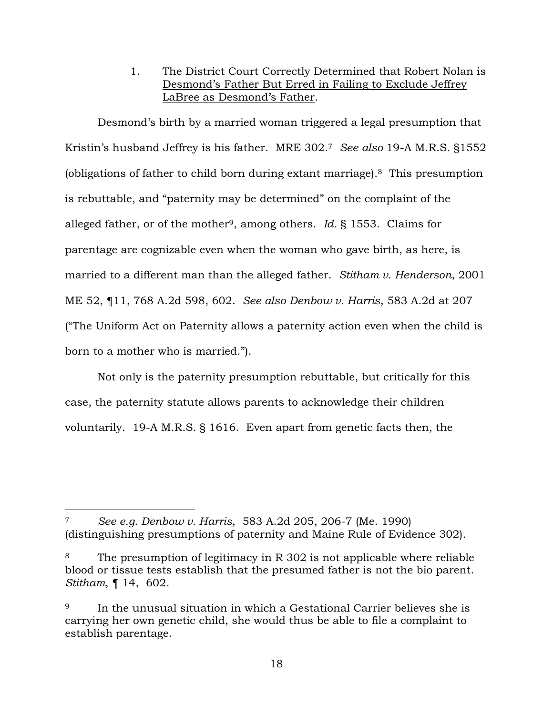1. The District Court Correctly Determined that Robert Nolan is Desmond's Father But Erred in Failing to Exclude Jeffrey LaBree as Desmond's Father.

Desmond's birth by a married woman triggered a legal presumption that Kristin's husband Jeffrey is his father. MRE 302.<sup>7</sup> *See also* 19-A M.R.S. §1552 (obligations of father to child born during extant marriage).8 This presumption is rebuttable, and "paternity may be determined" on the complaint of the alleged father, or of the mother9, among others. *Id*. § 1553. Claims for parentage are cognizable even when the woman who gave birth, as here, is married to a different man than the alleged father. *Stitham v. Henderson*, 2001 ME 52, ¶11, 768 A.2d 598, 602. *See also Denbow v. Harris*, 583 A.2d at 207 ("The Uniform Act on Paternity allows a paternity action even when the child is born to a mother who is married.").

Not only is the paternity presumption rebuttable, but critically for this case, the paternity statute allows parents to acknowledge their children voluntarily. 19-A M.R.S. § 1616. Even apart from genetic facts then, the

<sup>7</sup> *See e.g. Denbow v. Harris*, 583 A.2d 205, 206-7 (Me. 1990) (distinguishing presumptions of paternity and Maine Rule of Evidence 302).

<sup>&</sup>lt;sup>8</sup> The presumption of legitimacy in R 302 is not applicable where reliable blood or tissue tests establish that the presumed father is not the bio parent. *Stitham*, ¶ 14, 602.

<sup>9</sup> In the unusual situation in which a Gestational Carrier believes she is carrying her own genetic child, she would thus be able to file a complaint to establish parentage.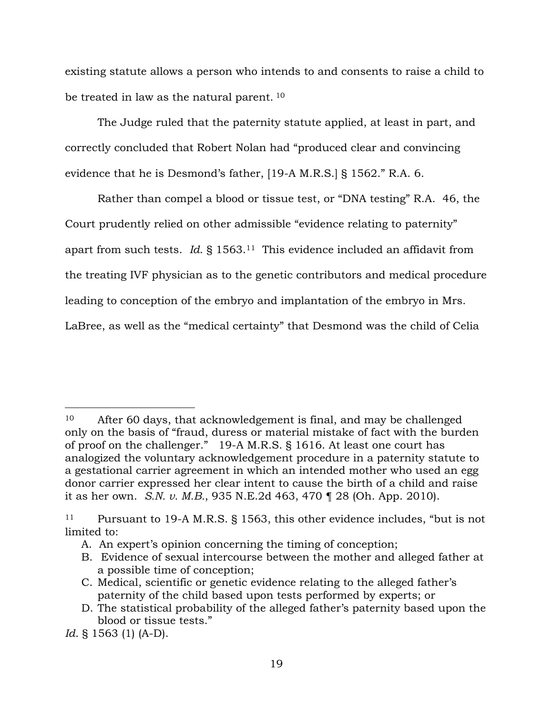existing statute allows a person who intends to and consents to raise a child to be treated in law as the natural parent.<sup>10</sup>

The Judge ruled that the paternity statute applied, at least in part, and correctly concluded that Robert Nolan had "produced clear and convincing evidence that he is Desmond's father, [19-A M.R.S.] § 1562." R.A. 6.

Rather than compel a blood or tissue test, or "DNA testing" R.A. 46, the Court prudently relied on other admissible "evidence relating to paternity" apart from such tests. *Id*. § 1563.11 This evidence included an affidavit from the treating IVF physician as to the genetic contributors and medical procedure leading to conception of the embryo and implantation of the embryo in Mrs. LaBree, as well as the "medical certainty" that Desmond was the child of Celia

<sup>10</sup> After 60 days, that acknowledgement is final, and may be challenged only on the basis of "fraud, duress or material mistake of fact with the burden of proof on the challenger." 19-A M.R.S. § 1616. At least one court has analogized the voluntary acknowledgement procedure in a paternity statute to a gestational carrier agreement in which an intended mother who used an egg donor carrier expressed her clear intent to cause the birth of a child and raise it as her own. *S.N. v. M.B.*, 935 N.E.2d 463, 470 ¶ 28 (Oh. App. 2010).

<sup>11</sup> Pursuant to 19-A M.R.S. § 1563, this other evidence includes, "but is not limited to:

A. An expert's opinion concerning the timing of conception;

B. Evidence of sexual intercourse between the mother and alleged father at a possible time of conception;

C. Medical, scientific or genetic evidence relating to the alleged father's paternity of the child based upon tests performed by experts; or

D. The statistical probability of the alleged father's paternity based upon the blood or tissue tests."

*Id*. § 1563 (1) (A-D).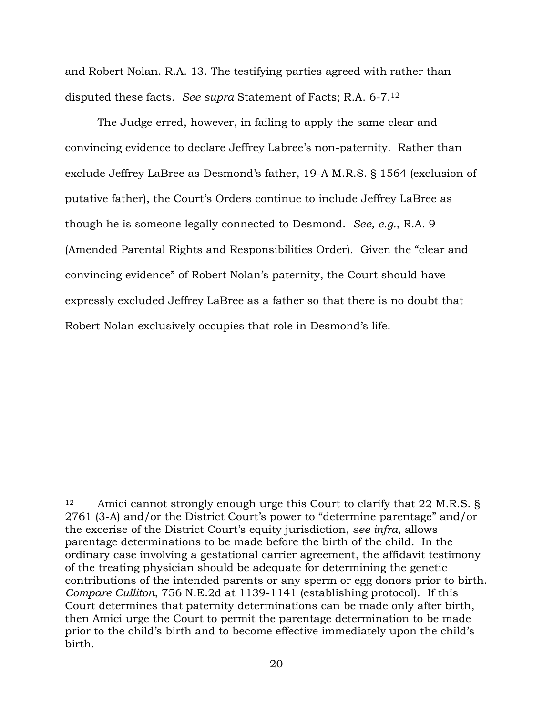and Robert Nolan. R.A. 13. The testifying parties agreed with rather than disputed these facts. *See supra* Statement of Facts; R.A. 6-7.<sup>12</sup>

The Judge erred, however, in failing to apply the same clear and convincing evidence to declare Jeffrey Labree's non-paternity. Rather than exclude Jeffrey LaBree as Desmond's father, 19-A M.R.S. § 1564 (exclusion of putative father), the Court's Orders continue to include Jeffrey LaBree as though he is someone legally connected to Desmond. *See, e.g.*, R.A. 9 (Amended Parental Rights and Responsibilities Order). Given the "clear and convincing evidence" of Robert Nolan's paternity, the Court should have expressly excluded Jeffrey LaBree as a father so that there is no doubt that Robert Nolan exclusively occupies that role in Desmond's life.

<sup>&</sup>lt;sup>12</sup> Amici cannot strongly enough urge this Court to clarify that 22 M.R.S. § 2761 (3-A) and/or the District Court's power to "determine parentage" and/or the excerise of the District Court's equity jurisdiction, *see infra*, allows parentage determinations to be made before the birth of the child. In the ordinary case involving a gestational carrier agreement, the affidavit testimony of the treating physician should be adequate for determining the genetic contributions of the intended parents or any sperm or egg donors prior to birth. *Compare Culliton*, 756 N.E.2d at 1139-1141 (establishing protocol). If this Court determines that paternity determinations can be made only after birth, then Amici urge the Court to permit the parentage determination to be made prior to the child's birth and to become effective immediately upon the child's birth.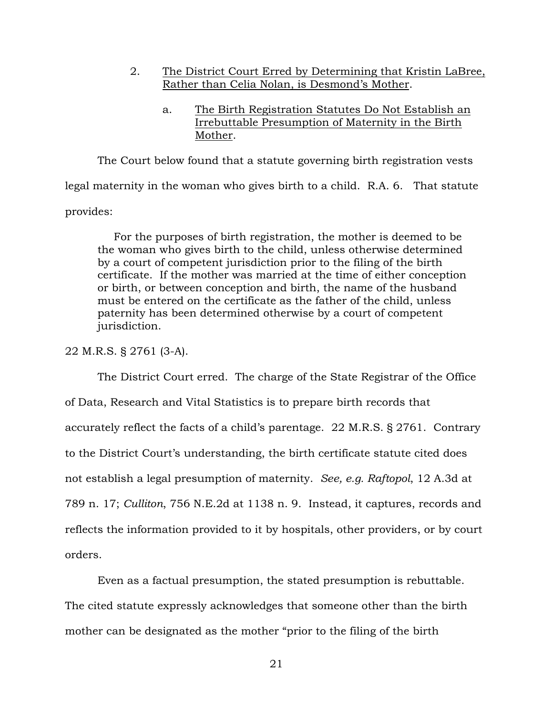- 2. The District Court Erred by Determining that Kristin LaBree, Rather than Celia Nolan, is Desmond's Mother.
	- a. The Birth Registration Statutes Do Not Establish an Irrebuttable Presumption of Maternity in the Birth Mother.

The Court below found that a statute governing birth registration vests legal maternity in the woman who gives birth to a child. R.A. 6. That statute provides:

For the purposes of birth registration, the mother is deemed to be the woman who gives birth to the child, unless otherwise determined by a court of competent jurisdiction prior to the filing of the birth certificate. If the mother was married at the time of either conception or birth, or between conception and birth, the name of the husband must be entered on the certificate as the father of the child, unless paternity has been determined otherwise by a court of competent jurisdiction.

## 22 M.R.S. § 2761 (3-A).

The District Court erred. The charge of the State Registrar of the Office of Data, Research and Vital Statistics is to prepare birth records that accurately reflect the facts of a child's parentage. 22 M.R.S. § 2761. Contrary to the District Court's understanding, the birth certificate statute cited does not establish a legal presumption of maternity. *See, e.g. Raftopol*, 12 A.3d at 789 n. 17; *Culliton*, 756 N.E.2d at 1138 n. 9. Instead, it captures, records and reflects the information provided to it by hospitals, other providers, or by court orders.

Even as a factual presumption, the stated presumption is rebuttable. The cited statute expressly acknowledges that someone other than the birth mother can be designated as the mother "prior to the filing of the birth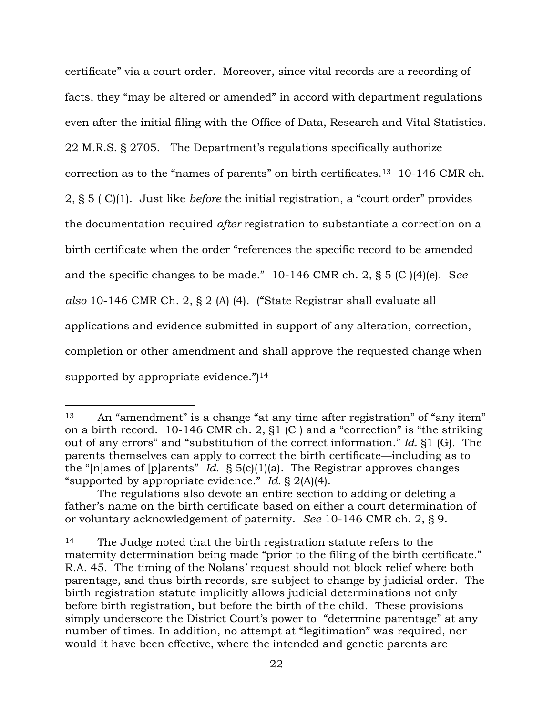certificate" via a court order. Moreover, since vital records are a recording of facts, they "may be altered or amended" in accord with department regulations even after the initial filing with the Office of Data, Research and Vital Statistics. 22 M.R.S. § 2705. The Department's regulations specifically authorize correction as to the "names of parents" on birth certificates.13 10-146 CMR ch. 2, § 5 ( C)(1). Just like *before* the initial registration, a "court order" provides the documentation required *after* registration to substantiate a correction on a birth certificate when the order "references the specific record to be amended and the specific changes to be made." 10-146 CMR ch. 2, § 5 (C )(4)(e). S*ee also* 10-146 CMR Ch. 2, § 2 (A) (4). ("State Registrar shall evaluate all applications and evidence submitted in support of any alteration, correction, completion or other amendment and shall approve the requested change when supported by appropriate evidence.") $14$ 

<sup>13</sup> An "amendment" is a change "at any time after registration" of "any item" on a birth record. 10-146 CMR ch. 2, §1 (C ) and a "correction" is "the striking out of any errors" and "substitution of the correct information." *Id.* §1 (G). The parents themselves can apply to correct the birth certificate—including as to the "[n]ames of [p]arents" *Id*. § 5(c)(1)(a). The Registrar approves changes "supported by appropriate evidence." *Id.* § 2(A)(4).

The regulations also devote an entire section to adding or deleting a father's name on the birth certificate based on either a court determination of or voluntary acknowledgement of paternity. *See* 10-146 CMR ch. 2, § 9.

<sup>&</sup>lt;sup>14</sup> The Judge noted that the birth registration statute refers to the maternity determination being made "prior to the filing of the birth certificate." R.A. 45. The timing of the Nolans' request should not block relief where both parentage, and thus birth records, are subject to change by judicial order. The birth registration statute implicitly allows judicial determinations not only before birth registration, but before the birth of the child. These provisions simply underscore the District Court's power to "determine parentage" at any number of times. In addition, no attempt at "legitimation" was required, nor would it have been effective, where the intended and genetic parents are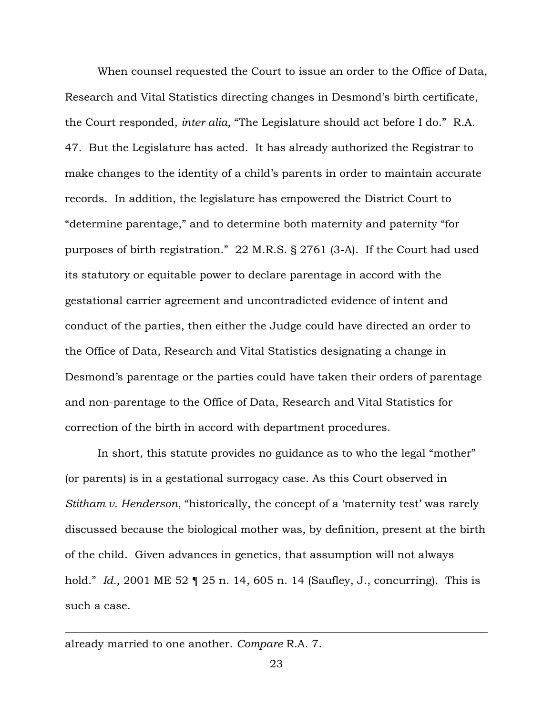When counsel requested the Court to issue an order to the Office of Data, Research and Vital Statistics directing changes in Desmond's birth certificate, the Court responded, *inter alia*, "The Legislature should act before I do." R.A. 47. But the Legislature has acted. It has already authorized the Registrar to make changes to the identity of a child's parents in order to maintain accurate records. In addition, the legislature has empowered the District Court to "determine parentage," and to determine both maternity and paternity "for purposes of birth registration." 22 M.R.S. § 2761 (3-A). If the Court had used its statutory or equitable power to declare parentage in accord with the gestational carrier agreement and uncontradicted evidence of intent and conduct of the parties, then either the Judge could have directed an order to the Office of Data, Research and Vital Statistics designating a change in Desmond's parentage or the parties could have taken their orders of parentage and non-parentage to the Office of Data, Research and Vital Statistics for correction of the birth in accord with department procedures.

In short, this statute provides no guidance as to who the legal "mother" (or parents) is in a gestational surrogacy case. As this Court observed in *Stitham v. Henderson*, "historically, the concept of a 'maternity test' was rarely discussed because the biological mother was, by definition, present at the birth of the child. Given advances in genetics, that assumption will not always hold." *Id.*, 2001 ME 52 ¶ 25 n. 14, 605 n. 14 (Saufley, J., concurring). This is such a case.

#### already married to one another. *Compare* R.A. 7.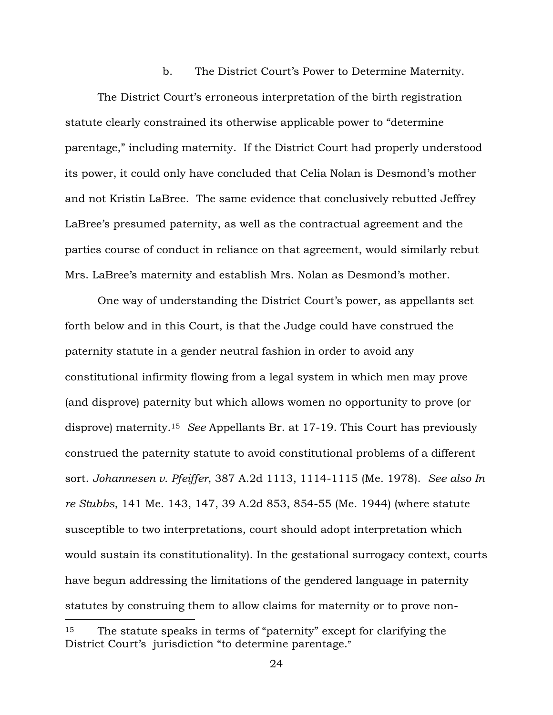#### b. The District Court's Power to Determine Maternity.

The District Court's erroneous interpretation of the birth registration statute clearly constrained its otherwise applicable power to "determine parentage," including maternity. If the District Court had properly understood its power, it could only have concluded that Celia Nolan is Desmond's mother and not Kristin LaBree. The same evidence that conclusively rebutted Jeffrey LaBree's presumed paternity, as well as the contractual agreement and the parties course of conduct in reliance on that agreement, would similarly rebut Mrs. LaBree's maternity and establish Mrs. Nolan as Desmond's mother.

One way of understanding the District Court's power, as appellants set forth below and in this Court, is that the Judge could have construed the paternity statute in a gender neutral fashion in order to avoid any constitutional infirmity flowing from a legal system in which men may prove (and disprove) paternity but which allows women no opportunity to prove (or disprove) maternity.<sup>15</sup> *See* Appellants Br. at 17-19. This Court has previously construed the paternity statute to avoid constitutional problems of a different sort. *Johannesen v. Pfeiffer*, 387 A.2d 1113, 1114-1115 (Me. 1978). *See also In re Stubbs*, 141 Me. 143, 147, 39 A.2d 853, 854-55 (Me. 1944) (where statute susceptible to two interpretations, court should adopt interpretation which would sustain its constitutionality). In the gestational surrogacy context, courts have begun addressing the limitations of the gendered language in paternity statutes by construing them to allow claims for maternity or to prove non-

<sup>&</sup>lt;sup>15</sup> The statute speaks in terms of "paternity" except for clarifying the District Court's jurisdiction "to determine parentage."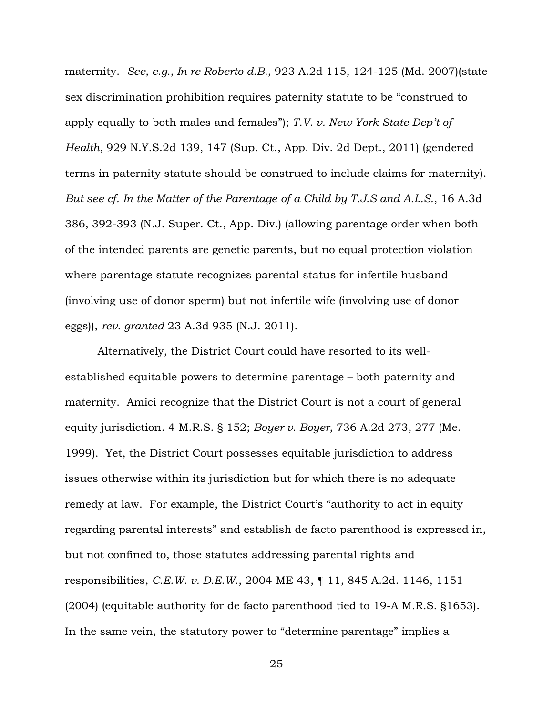maternity. *See, e.g., In re Roberto d.B.*, 923 A.2d 115, 124-125 (Md. 2007)(state sex discrimination prohibition requires paternity statute to be "construed to apply equally to both males and females"); *T.V. v. New York State Dep't of Health*, 929 N.Y.S.2d 139, 147 (Sup. Ct., App. Div. 2d Dept., 2011) (gendered terms in paternity statute should be construed to include claims for maternity). *But see cf. In the Matter of the Parentage of a Child by T.J.S and A.L.S.*, 16 A.3d 386, 392-393 (N.J. Super. Ct., App. Div.) (allowing parentage order when both of the intended parents are genetic parents, but no equal protection violation where parentage statute recognizes parental status for infertile husband (involving use of donor sperm) but not infertile wife (involving use of donor eggs)), *rev. granted* 23 A.3d 935 (N.J. 2011).

Alternatively, the District Court could have resorted to its wellestablished equitable powers to determine parentage – both paternity and maternity. Amici recognize that the District Court is not a court of general equity jurisdiction. 4 M.R.S. § 152; *Boyer v. Boyer*, 736 A.2d 273, 277 (Me. 1999). Yet, the District Court possesses equitable jurisdiction to address issues otherwise within its jurisdiction but for which there is no adequate remedy at law. For example, the District Court's "authority to act in equity regarding parental interests" and establish de facto parenthood is expressed in, but not confined to, those statutes addressing parental rights and responsibilities, *C.E.W. v. D.E.W.*, 2004 ME 43, ¶ 11, 845 A.2d. 1146, 1151 (2004) (equitable authority for de facto parenthood tied to 19-A M.R.S. §1653). In the same vein, the statutory power to "determine parentage" implies a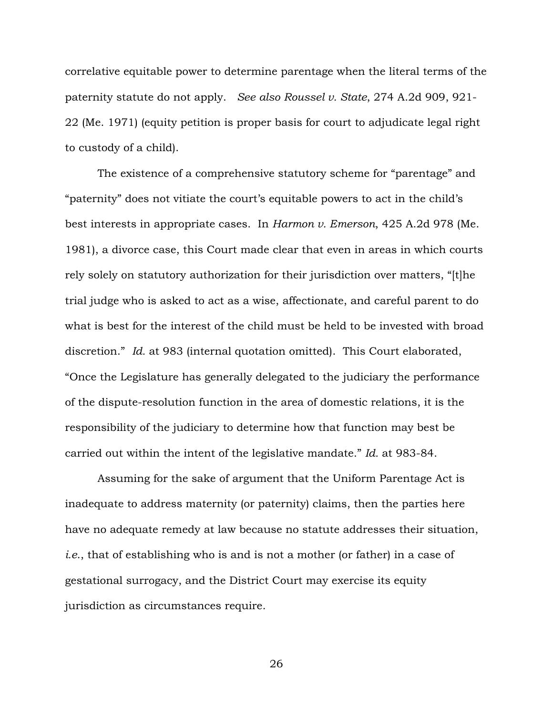correlative equitable power to determine parentage when the literal terms of the paternity statute do not apply. *See also Roussel v. State*, 274 A.2d 909, 921- 22 (Me. 1971) (equity petition is proper basis for court to adjudicate legal right to custody of a child).

The existence of a comprehensive statutory scheme for "parentage" and "paternity" does not vitiate the court's equitable powers to act in the child's best interests in appropriate cases. In *Harmon v. Emerson*, 425 A.2d 978 (Me. 1981), a divorce case, this Court made clear that even in areas in which courts rely solely on statutory authorization for their jurisdiction over matters, "[t]he trial judge who is asked to act as a wise, affectionate, and careful parent to do what is best for the interest of the child must be held to be invested with broad discretion." *Id.* at 983 (internal quotation omitted). This Court elaborated, "Once the Legislature has generally delegated to the judiciary the performance of the dispute-resolution function in the area of domestic relations, it is the responsibility of the judiciary to determine how that function may best be carried out within the intent of the legislative mandate." *Id.* at 983-84.

Assuming for the sake of argument that the Uniform Parentage Act is inadequate to address maternity (or paternity) claims, then the parties here have no adequate remedy at law because no statute addresses their situation, *i.e*., that of establishing who is and is not a mother (or father) in a case of gestational surrogacy, and the District Court may exercise its equity jurisdiction as circumstances require.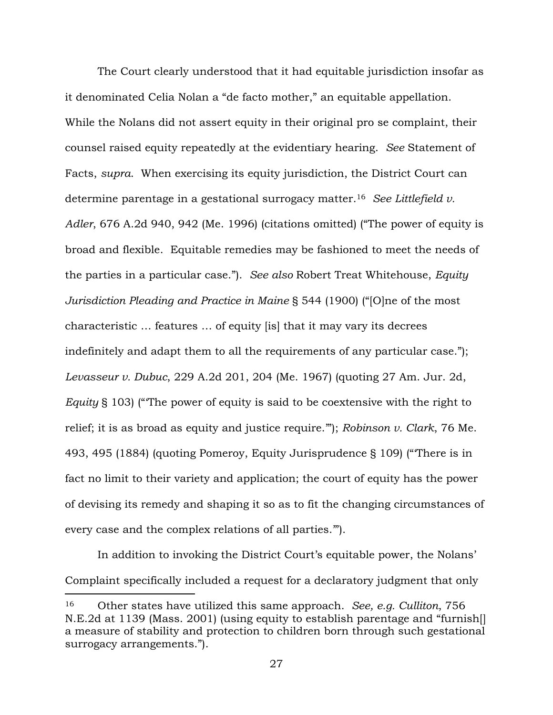The Court clearly understood that it had equitable jurisdiction insofar as it denominated Celia Nolan a "de facto mother," an equitable appellation. While the Nolans did not assert equity in their original pro se complaint, their counsel raised equity repeatedly at the evidentiary hearing. *See* Statement of Facts, *supra*. When exercising its equity jurisdiction, the District Court can determine parentage in a gestational surrogacy matter.<sup>16</sup> *See Littlefield v. Adler*, 676 A.2d 940, 942 (Me. 1996) (citations omitted) ("The power of equity is broad and flexible. Equitable remedies may be fashioned to meet the needs of the parties in a particular case."). *See also* Robert Treat Whitehouse, *Equity Jurisdiction Pleading and Practice in Maine* § 544 (1900) ("[O]ne of the most characteristic … features … of equity [is] that it may vary its decrees indefinitely and adapt them to all the requirements of any particular case."); *Levasseur v. Dubuc*, 229 A.2d 201, 204 (Me. 1967) (quoting 27 Am. Jur. 2d, *Equity* § 103) ("'The power of equity is said to be coextensive with the right to relief; it is as broad as equity and justice require.'"); *Robinson v. Clark*, 76 Me. 493, 495 (1884) (quoting Pomeroy, Equity Jurisprudence § 109) ("'There is in fact no limit to their variety and application; the court of equity has the power of devising its remedy and shaping it so as to fit the changing circumstances of every case and the complex relations of all parties.'").

In addition to invoking the District Court's equitable power, the Nolans' Complaint specifically included a request for a declaratory judgment that only

<sup>16</sup> Other states have utilized this same approach. *See, e.g. Culliton*, 756 N.E.2d at 1139 (Mass. 2001) (using equity to establish parentage and "furnish[] a measure of stability and protection to children born through such gestational surrogacy arrangements.").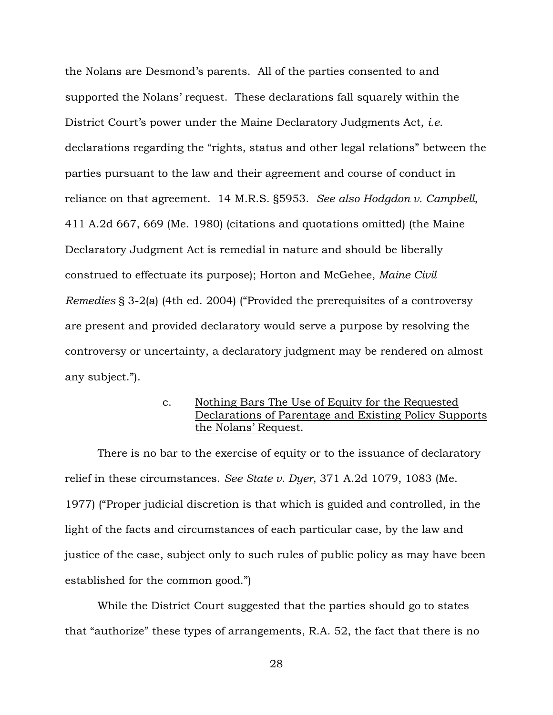the Nolans are Desmond's parents. All of the parties consented to and supported the Nolans' request. These declarations fall squarely within the District Court's power under the Maine Declaratory Judgments Act, *i.e.* declarations regarding the "rights, status and other legal relations" between the parties pursuant to the law and their agreement and course of conduct in reliance on that agreement. 14 M.R.S. §5953. *See also Hodgdon v. Campbell*, 411 A.2d 667, 669 (Me. 1980) (citations and quotations omitted) (the Maine Declaratory Judgment Act is remedial in nature and should be liberally construed to effectuate its purpose); Horton and McGehee, *Maine Civil Remedies* § 3-2(a) (4th ed. 2004) ("Provided the prerequisites of a controversy are present and provided declaratory would serve a purpose by resolving the controversy or uncertainty, a declaratory judgment may be rendered on almost any subject.").

> c. Nothing Bars The Use of Equity for the Requested Declarations of Parentage and Existing Policy Supports the Nolans' Request.

There is no bar to the exercise of equity or to the issuance of declaratory relief in these circumstances. *See State v. Dyer*, 371 A.2d 1079, 1083 (Me. 1977) ("Proper judicial discretion is that which is guided and controlled, in the light of the facts and circumstances of each particular case, by the law and justice of the case, subject only to such rules of public policy as may have been established for the common good.")

While the District Court suggested that the parties should go to states that "authorize" these types of arrangements, R.A. 52, the fact that there is no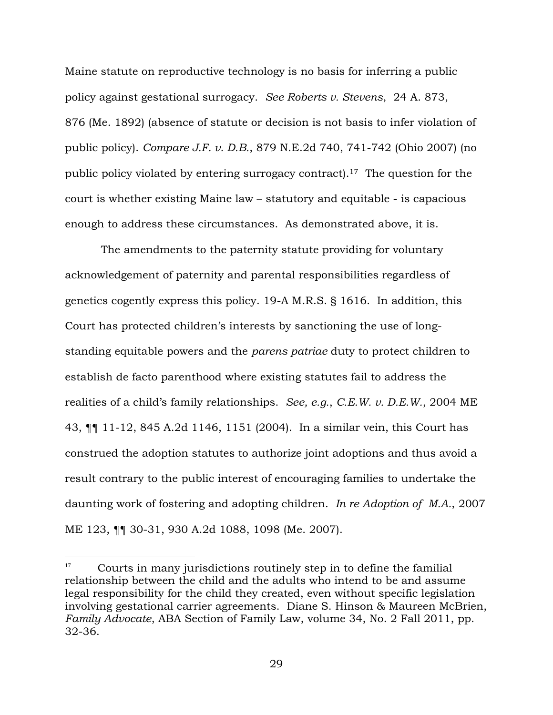Maine statute on reproductive technology is no basis for inferring a public policy against gestational surrogacy. *See Roberts v. Stevens*, 24 A. 873, 876 (Me. 1892) (absence of statute or decision is not basis to infer violation of public policy). *Compare J.F. v. D.B.*, 879 N.E.2d 740, 741-742 (Ohio 2007) (no public policy violated by entering surrogacy contract).17 The question for the court is whether existing Maine law – statutory and equitable - is capacious enough to address these circumstances. As demonstrated above, it is.

The amendments to the paternity statute providing for voluntary acknowledgement of paternity and parental responsibilities regardless of genetics cogently express this policy. 19-A M.R.S. § 1616. In addition, this Court has protected children's interests by sanctioning the use of longstanding equitable powers and the *parens patriae* duty to protect children to establish de facto parenthood where existing statutes fail to address the realities of a child's family relationships. *See, e.g.*, *C.E.W. v. D.E.W.*, 2004 ME 43, ¶¶ 11-12, 845 A.2d 1146, 1151 (2004). In a similar vein, this Court has construed the adoption statutes to authorize joint adoptions and thus avoid a result contrary to the public interest of encouraging families to undertake the daunting work of fostering and adopting children. *In re Adoption of M.A.*, 2007 ME 123, ¶¶ 30-31, 930 A.2d 1088, 1098 (Me. 2007).

<sup>&</sup>lt;sup>17</sup> Courts in many jurisdictions routinely step in to define the familial relationship between the child and the adults who intend to be and assume legal responsibility for the child they created, even without specific legislation involving gestational carrier agreements. Diane S. Hinson & Maureen McBrien, *Family Advocate*, ABA Section of Family Law, volume 34, No. 2 Fall 2011, pp. 32-36.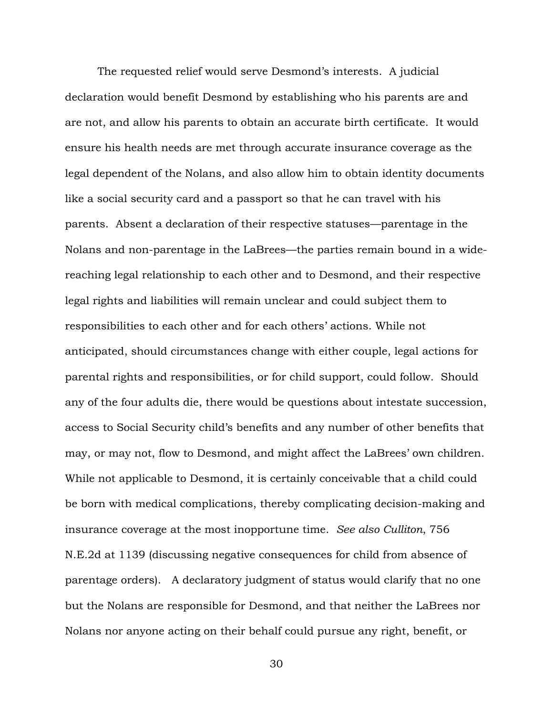The requested relief would serve Desmond's interests. A judicial declaration would benefit Desmond by establishing who his parents are and are not, and allow his parents to obtain an accurate birth certificate. It would ensure his health needs are met through accurate insurance coverage as the legal dependent of the Nolans, and also allow him to obtain identity documents like a social security card and a passport so that he can travel with his parents. Absent a declaration of their respective statuses—parentage in the Nolans and non-parentage in the LaBrees—the parties remain bound in a widereaching legal relationship to each other and to Desmond, and their respective legal rights and liabilities will remain unclear and could subject them to responsibilities to each other and for each others' actions. While not anticipated, should circumstances change with either couple, legal actions for parental rights and responsibilities, or for child support, could follow. Should any of the four adults die, there would be questions about intestate succession, access to Social Security child's benefits and any number of other benefits that may, or may not, flow to Desmond, and might affect the LaBrees' own children. While not applicable to Desmond, it is certainly conceivable that a child could be born with medical complications, thereby complicating decision-making and insurance coverage at the most inopportune time. *See also Culliton*, 756 N.E.2d at 1139 (discussing negative consequences for child from absence of parentage orders). A declaratory judgment of status would clarify that no one but the Nolans are responsible for Desmond, and that neither the LaBrees nor Nolans nor anyone acting on their behalf could pursue any right, benefit, or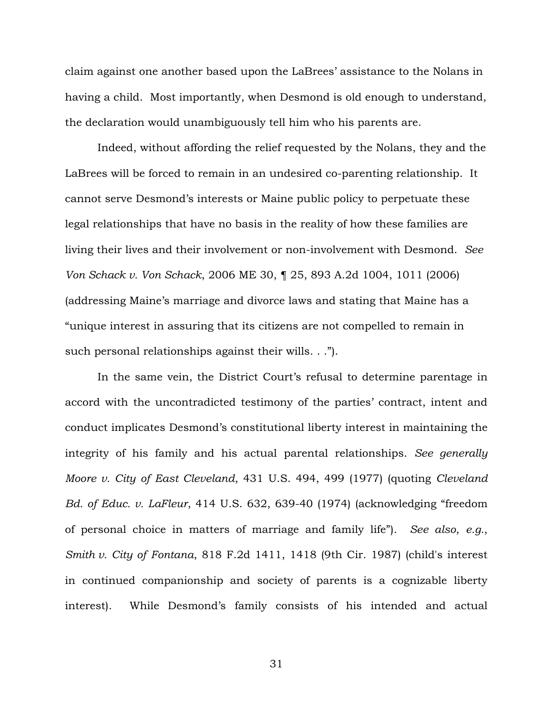claim against one another based upon the LaBrees' assistance to the Nolans in having a child. Most importantly, when Desmond is old enough to understand, the declaration would unambiguously tell him who his parents are.

Indeed, without affording the relief requested by the Nolans, they and the LaBrees will be forced to remain in an undesired co-parenting relationship. It cannot serve Desmond's interests or Maine public policy to perpetuate these legal relationships that have no basis in the reality of how these families are living their lives and their involvement or non-involvement with Desmond. *See Von Schack v. Von Schack*, 2006 ME 30, ¶ 25, 893 A.2d 1004, 1011 (2006) (addressing Maine's marriage and divorce laws and stating that Maine has a "unique interest in assuring that its citizens are not compelled to remain in such personal relationships against their wills. . .").

In the same vein, the District Court's refusal to determine parentage in accord with the uncontradicted testimony of the parties' contract, intent and conduct implicates Desmond's constitutional liberty interest in maintaining the integrity of his family and his actual parental relationships. *See generally Moore v. City of East Cleveland*, 431 U.S. 494, 499 (1977) (quoting *Cleveland Bd. of Educ. v. LaFleur*, 414 U.S. 632, 639-40 (1974) (acknowledging "freedom of personal choice in matters of marriage and family life"). *See also*, *e.g.*, *Smith v. City of Fontana*, 818 F.2d 1411, 1418 (9th Cir. 1987) (child's interest in continued companionship and society of parents is a cognizable liberty interest). While Desmond's family consists of his intended and actual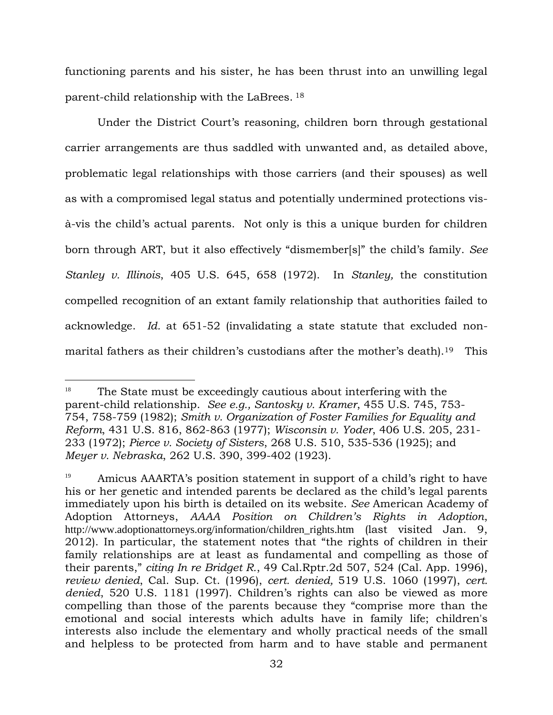functioning parents and his sister, he has been thrust into an unwilling legal parent-child relationship with the LaBrees. <sup>18</sup>

Under the District Court's reasoning, children born through gestational carrier arrangements are thus saddled with unwanted and, as detailed above, problematic legal relationships with those carriers (and their spouses) as well as with a compromised legal status and potentially undermined protections visà-vis the child's actual parents. Not only is this a unique burden for children born through ART, but it also effectively "dismember[s]" the child's family. *See Stanley v. Illinois*, 405 U.S. 645, 658 (1972). In *Stanley,* the constitution compelled recognition of an extant family relationship that authorities failed to acknowledge. *Id.* at 651-52 (invalidating a state statute that excluded nonmarital fathers as their children's custodians after the mother's death).<sup>19</sup> This

 $18$  The State must be exceedingly cautious about interfering with the parent-child relationship. *See e.g., Santosky v. Kramer*, 455 U.S. 745, 753- 754, 758-759 (1982); *Smith v. Organization of Foster Families for Equality and Reform*, 431 U.S. 816, 862-863 (1977); *Wisconsin v. Yoder*, 406 U.S. 205, 231- 233 (1972); *Pierce v. Society of Sisters*, 268 U.S. 510, 535-536 (1925); and *Meyer v. Nebraska*, 262 U.S. 390, 399-402 (1923).

 $19$  Amicus AAARTA's position statement in support of a child's right to have his or her genetic and intended parents be declared as the child's legal parents immediately upon his birth is detailed on its website. *See* American Academy of Adoption Attorneys, *AAAA Position on Children's Rights in Adoption*, http://www.adoptionattorneys.org/information/children\_rights.htm (last visited Jan. 9, 2012). In particular, the statement notes that "the rights of children in their family relationships are at least as fundamental and compelling as those of their parents," *citing In re Bridget R.*, 49 Cal.Rptr.2d 507, 524 (Cal. App. 1996), *review denied*, Cal. Sup. Ct. (1996), *cert. denied,* 519 U.S. 1060 (1997), *cert. denied*, 520 U.S. 1181 (1997). Children's rights can also be viewed as more compelling than those of the parents because they "comprise more than the emotional and social interests which adults have in family life; children's interests also include the elementary and wholly practical needs of the small and helpless to be protected from harm and to have stable and permanent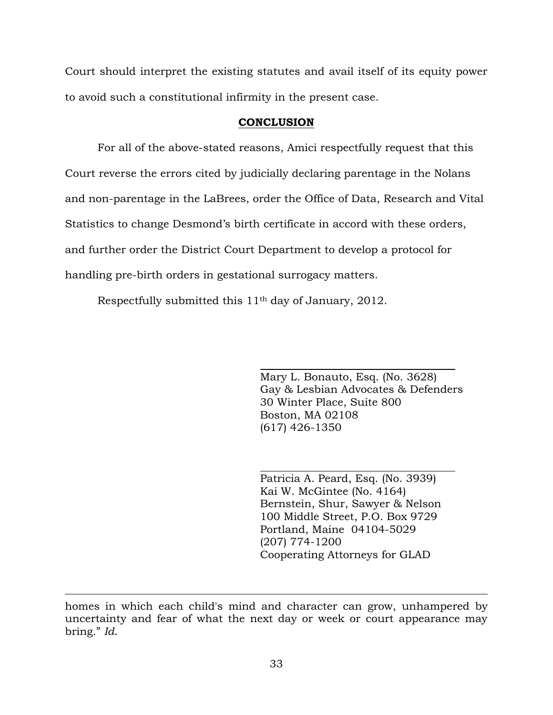Court should interpret the existing statutes and avail itself of its equity power to avoid such a constitutional infirmity in the present case.

## **CONCLUSION**

For all of the above-stated reasons, Amici respectfully request that this Court reverse the errors cited by judicially declaring parentage in the Nolans and non-parentage in the LaBrees, order the Office of Data, Research and Vital Statistics to change Desmond's birth certificate in accord with these orders, and further order the District Court Department to develop a protocol for handling pre-birth orders in gestational surrogacy matters.

Respectfully submitted this 11th day of January, 2012.

Mary L. Bonauto, Esq. (No. 3628) Gay & Lesbian Advocates & Defenders 30 Winter Place, Suite 800 Boston, MA 02108 (617) 426-1350

Patricia A. Peard, Esq. (No. 3939) Kai W. McGintee (No. 4164) Bernstein, Shur, Sawyer & Nelson 100 Middle Street, P.O. Box 9729 Portland, Maine 04104-5029 (207) 774-1200 Cooperating Attorneys for GLAD

homes in which each child's mind and character can grow, unhampered by uncertainty and fear of what the next day or week or court appearance may bring." *Id*.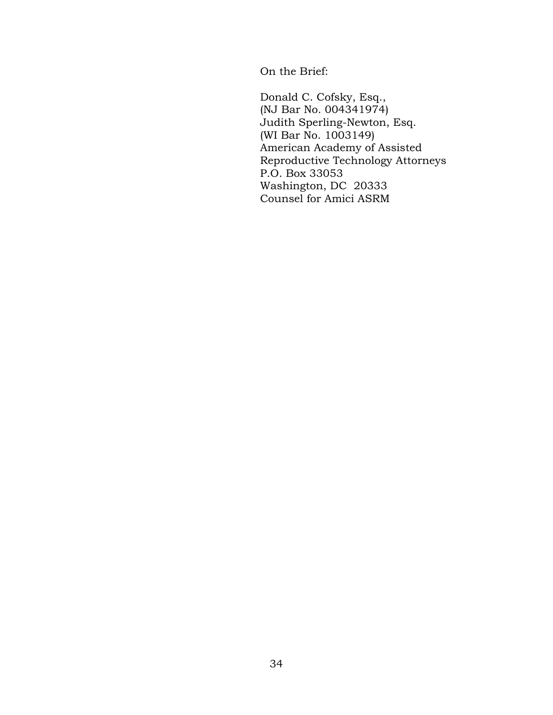On the Brief:

Donald C. Cofsky, Esq., (NJ Bar No. 004341974) Judith Sperling-Newton, Esq. (WI Bar No. 1003149) American Academy of Assisted Reproductive Technology Attorneys P.O. Box 33053 Washington, DC 20333 Counsel for Amici ASRM